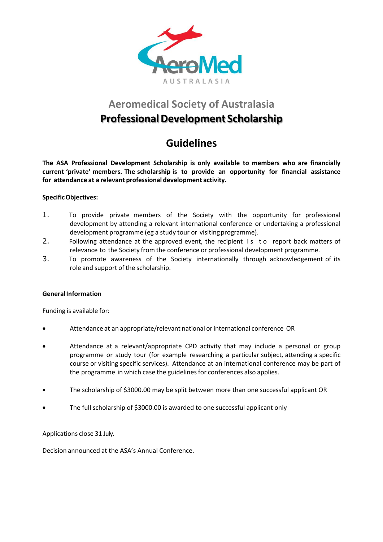

### **Aeromedical Society of Australasia**

## **ProfessionalDevelopment Scholarship**

# **Guidelines**

**The ASA Professional Development Scholarship is only available to members who are financially current 'private' members. The scholarship is to provide an opportunity for financial assistance for attendance at a relevant professional development activity.**

#### **SpecificObjectives:**

- 1. To provide private members of the Society with the opportunity for professional development by attending a relevant international conference or undertaking a professional development programme (eg a study tour or visiting programme).
- 2. Following attendance at the approved event, the recipient is to report back matters of relevance to the Society from the conference or professional development programme.
- 3. To promote awareness of the Society internationally through acknowledgement of its role and support of the scholarship.

#### **GeneralInformation**

Funding is available for:

- Attendance at an appropriate/relevant national orinternational conference OR
- Attendance at a relevant/appropriate CPD activity that may include a personal or group programme or study tour (for example researching a particular subject, attending a specific course or visiting specific services). Attendance at an international conference may be part of the programme in which case the guidelines for conferences also applies.
- The scholarship of \$3000.00 may be split between more than one successful applicant OR
- The full scholarship of \$3000.00 is awarded to one successful applicant only

Applications close 31 July.

Decision announced at the ASA's Annual Conference.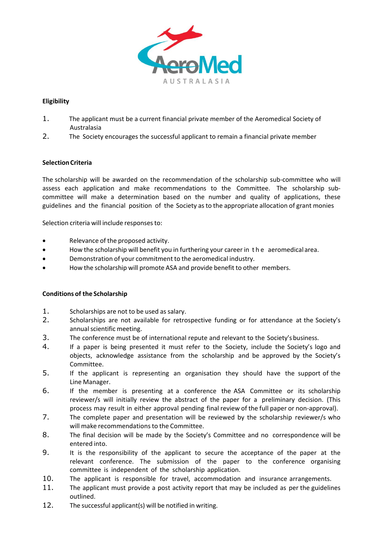

### **Eligibility**

- 1. The applicant must be a current financial private member of the Aeromedical Society of Australasia
- 2. The Society encourages the successful applicant to remain a financial private member

#### **SelectionCriteria**

The scholarship will be awarded on the recommendation of the scholarship sub-committee who will assess each application and make recommendations to the Committee. The scholarship subcommittee will make a determination based on the number and quality of applications, these guidelines and the financial position of the Society asto the appropriate allocation of grant monies

Selection criteria will include responses to:

- Relevance of the proposed activity.
- How the scholarship will benefit you in furthering your career in t h e aeromedical area.
- Demonstration of your commitment to the aeromedical industry.
- How the scholarship will promote ASA and provide benefit to other members.

#### **Conditions of the Scholarship**

- 1. Scholarships are not to be used as salary.
- 2. Scholarships are not available for retrospective funding or for attendance at the Society's annual scientific meeting.
- 3. The conference must be of international repute and relevant to the Society'sbusiness.
- 4. If a paper is being presented it must refer to the Society, include the Society's logo and objects, acknowledge assistance from the scholarship and be approved by the Society's Committee.
- 5. If the applicant is representing an organisation they should have the support of the Line Manager.
- 6. If the member is presenting at a conference the ASA Committee or its scholarship reviewer/s will initially review the abstract of the paper for a preliminary decision. (This process may result in either approval pending final review of the full paper or non-approval).
- 7. The complete paper and presentation will be reviewed by the scholarship reviewer/s who will make recommendations to the Committee.
- 8. The final decision will be made by the Society's Committee and no correspondence will be entered into.
- 9. It is the responsibility of the applicant to secure the acceptance of the paper at the relevant conference. The submission of the paper to the conference organising committee is independent of the scholarship application.
- 10. The applicant is responsible for travel, accommodation and insurance arrangements.
- 11. The applicant must provide a post activity report that may be included as per the guidelines outlined.
- 12. The successful applicant(s) will be notified in writing.